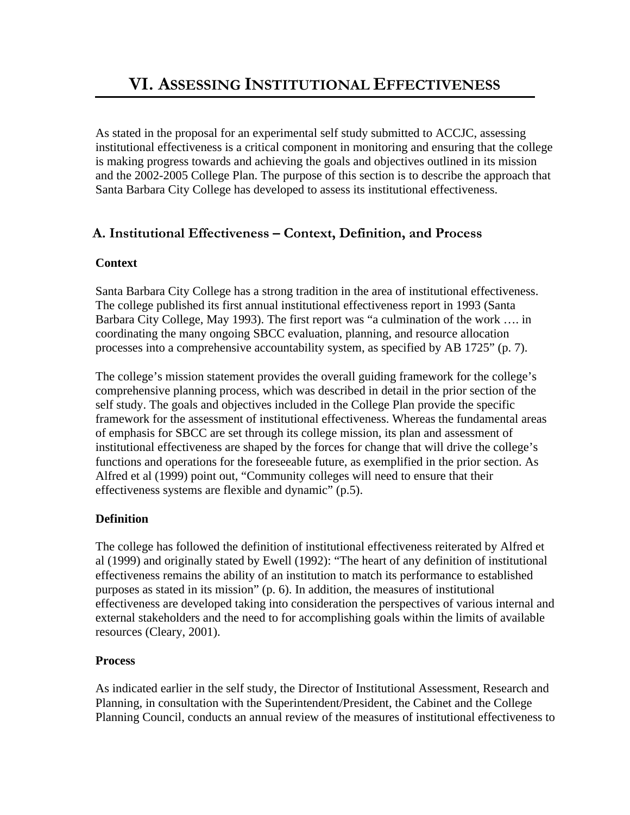As stated in the proposal for an experimental self study submitted to ACCJC, assessing institutional effectiveness is a critical component in monitoring and ensuring that the college is making progress towards and achieving the goals and objectives outlined in its mission and the 2002-2005 College Plan. The purpose of this section is to describe the approach that Santa Barbara City College has developed to assess its institutional effectiveness.

# **A. Institutional Effectiveness – Context, Definition, and Process**

## **Context**

Santa Barbara City College has a strong tradition in the area of institutional effectiveness. The college published its first annual institutional effectiveness report in 1993 (Santa Barbara City College, May 1993). The first report was "a culmination of the work …. in coordinating the many ongoing SBCC evaluation, planning, and resource allocation processes into a comprehensive accountability system, as specified by AB 1725" (p. 7).

The college's mission statement provides the overall guiding framework for the college's comprehensive planning process, which was described in detail in the prior section of the self study. The goals and objectives included in the College Plan provide the specific framework for the assessment of institutional effectiveness. Whereas the fundamental areas of emphasis for SBCC are set through its college mission, its plan and assessment of institutional effectiveness are shaped by the forces for change that will drive the college's functions and operations for the foreseeable future, as exemplified in the prior section. As Alfred et al (1999) point out, "Community colleges will need to ensure that their effectiveness systems are flexible and dynamic" (p.5).

## **Definition**

The college has followed the definition of institutional effectiveness reiterated by Alfred et al (1999) and originally stated by Ewell (1992): "The heart of any definition of institutional effectiveness remains the ability of an institution to match its performance to established purposes as stated in its mission" (p. 6). In addition, the measures of institutional effectiveness are developed taking into consideration the perspectives of various internal and external stakeholders and the need to for accomplishing goals within the limits of available resources (Cleary, 2001).

## **Process**

As indicated earlier in the self study, the Director of Institutional Assessment, Research and Planning, in consultation with the Superintendent/President, the Cabinet and the College Planning Council, conducts an annual review of the measures of institutional effectiveness to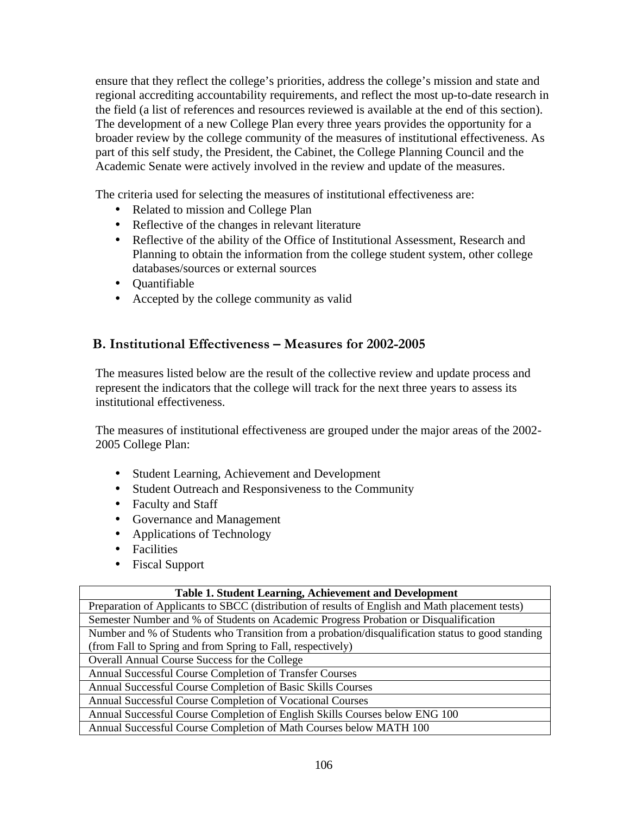ensure that they reflect the college's priorities, address the college's mission and state and regional accrediting accountability requirements, and reflect the most up-to-date research in the field (a list of references and resources reviewed is available at the end of this section). The development of a new College Plan every three years provides the opportunity for a broader review by the college community of the measures of institutional effectiveness. As part of this self study, the President, the Cabinet, the College Planning Council and the Academic Senate were actively involved in the review and update of the measures.

The criteria used for selecting the measures of institutional effectiveness are:

- Related to mission and College Plan
- Reflective of the changes in relevant literature
- Reflective of the ability of the Office of Institutional Assessment, Research and Planning to obtain the information from the college student system, other college databases/sources or external sources
- Quantifiable
- Accepted by the college community as valid

## **B. Institutional Effectiveness – Measures for 2002-2005**

The measures listed below are the result of the collective review and update process and represent the indicators that the college will track for the next three years to assess its institutional effectiveness.

The measures of institutional effectiveness are grouped under the major areas of the 2002- 2005 College Plan:

- Student Learning, Achievement and Development
- Student Outreach and Responsiveness to the Community
- Faculty and Staff
- Governance and Management
- Applications of Technology
- Facilities
- Fiscal Support

### **Table 1. Student Learning, Achievement and Development**

Preparation of Applicants to SBCC (distribution of results of English and Math placement tests) Semester Number and % of Students on Academic Progress Probation or Disqualification Number and % of Students who Transition from a probation/disqualification status to good standing (from Fall to Spring and from Spring to Fall, respectively) Overall Annual Course Success for the College Annual Successful Course Completion of Transfer Courses Annual Successful Course Completion of Basic Skills Courses Annual Successful Course Completion of Vocational Courses Annual Successful Course Completion of English Skills Courses below ENG 100 Annual Successful Course Completion of Math Courses below MATH 100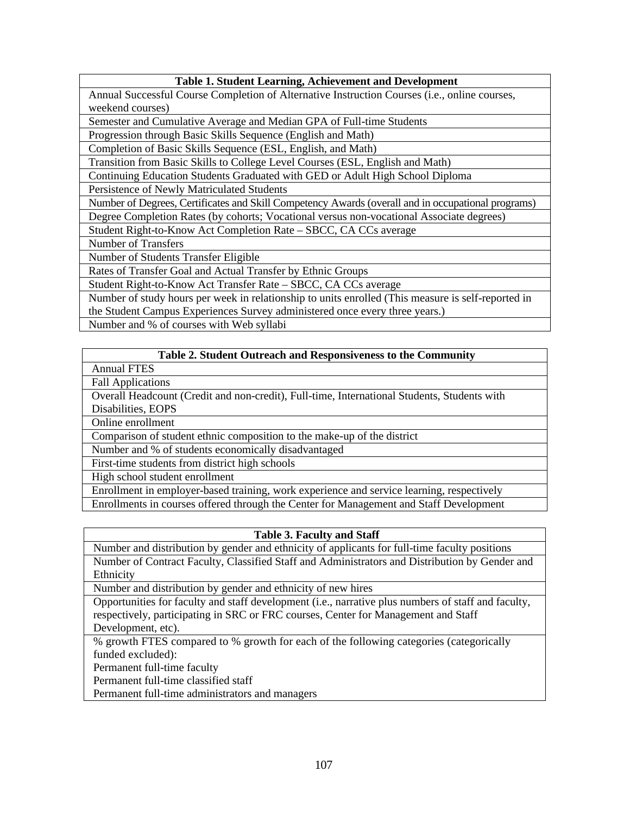### **Table 1. Student Learning, Achievement and Development**

Annual Successful Course Completion of Alternative Instruction Courses (i.e., online courses, weekend courses)

Semester and Cumulative Average and Median GPA of Full-time Students

Progression through Basic Skills Sequence (English and Math)

Completion of Basic Skills Sequence (ESL, English, and Math)

Transition from Basic Skills to College Level Courses (ESL, English and Math)

Continuing Education Students Graduated with GED or Adult High School Diploma

Persistence of Newly Matriculated Students

Number of Degrees, Certificates and Skill Competency Awards (overall and in occupational programs) Degree Completion Rates (by cohorts; Vocational versus non-vocational Associate degrees)

Student Right-to-Know Act Completion Rate – SBCC, CA CCs average

Number of Transfers

Number of Students Transfer Eligible

Rates of Transfer Goal and Actual Transfer by Ethnic Groups

Student Right-to-Know Act Transfer Rate – SBCC, CA CCs average

Number of study hours per week in relationship to units enrolled (This measure is self-reported in the Student Campus Experiences Survey administered once every three years.)

Number and % of courses with Web syllabi

### **Table 2. Student Outreach and Responsiveness to the Community**

Annual FTES

Fall Applications

Overall Headcount (Credit and non-credit), Full-time, International Students, Students with Disabilities, EOPS

Online enrollment

Comparison of student ethnic composition to the make-up of the district

Number and % of students economically disadvantaged

First-time students from district high schools

High school student enrollment

Enrollment in employer-based training, work experience and service learning, respectively

Enrollments in courses offered through the Center for Management and Staff Development

### **Table 3. Faculty and Staff**

Number and distribution by gender and ethnicity of applicants for full-time faculty positions Number of Contract Faculty, Classified Staff and Administrators and Distribution by Gender and Ethnicity

Number and distribution by gender and ethnicity of new hires

Opportunities for faculty and staff development (i.e., narrative plus numbers of staff and faculty, respectively, participating in SRC or FRC courses, Center for Management and Staff Development, etc).

% growth FTES compared to % growth for each of the following categories (categorically funded excluded):

Permanent full-time faculty

Permanent full-time classified staff

Permanent full-time administrators and managers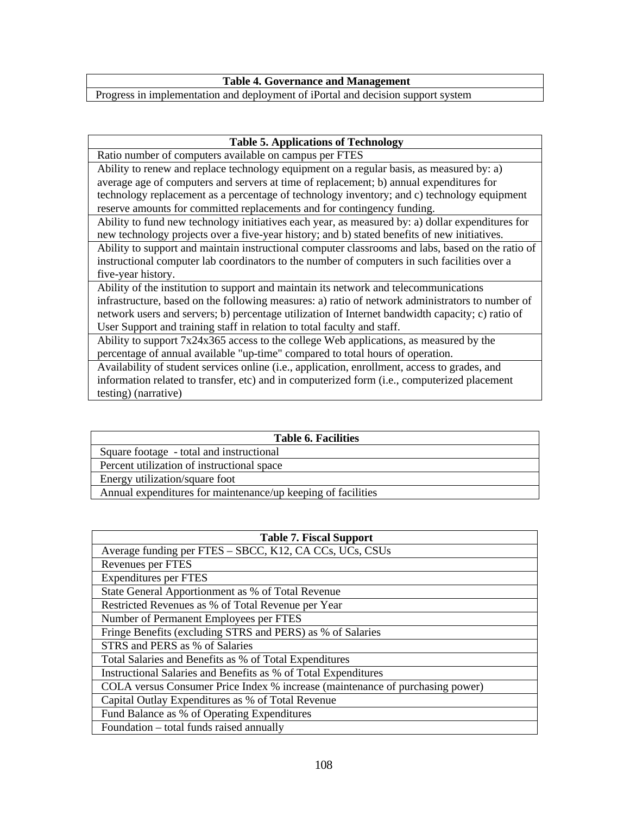**Table 4. Governance and Management**

Progress in implementation and deployment of iPortal and decision support system

### **Table 5. Applications of Technology**

Ratio number of computers available on campus per FTES

Ability to renew and replace technology equipment on a regular basis, as measured by: a) average age of computers and servers at time of replacement; b) annual expenditures for technology replacement as a percentage of technology inventory; and c) technology equipment reserve amounts for committed replacements and for contingency funding.

Ability to fund new technology initiatives each year, as measured by: a) dollar expenditures for new technology projects over a five-year history; and b) stated benefits of new initiatives.

Ability to support and maintain instructional computer classrooms and labs, based on the ratio of instructional computer lab coordinators to the number of computers in such facilities over a five-year history.

Ability of the institution to support and maintain its network and telecommunications infrastructure, based on the following measures: a) ratio of network administrators to number of network users and servers; b) percentage utilization of Internet bandwidth capacity; c) ratio of User Support and training staff in relation to total faculty and staff.

Ability to support 7x24x365 access to the college Web applications, as measured by the percentage of annual available "up-time" compared to total hours of operation.

Availability of student services online (i.e., application, enrollment, access to grades, and information related to transfer, etc) and in computerized form (i.e., computerized placement testing) (narrative)

### **Table 6. Facilities**

Square footage - total and instructional

Percent utilization of instructional space

Energy utilization/square foot

Annual expenditures for maintenance/up keeping of facilities

| <b>Table 7. Fiscal Support</b>                                                |
|-------------------------------------------------------------------------------|
| Average funding per FTES – SBCC, K12, CA CCs, UCs, CSUs                       |
| Revenues per FTES                                                             |
| <b>Expenditures per FTES</b>                                                  |
| State General Apportionment as % of Total Revenue                             |
| Restricted Revenues as % of Total Revenue per Year                            |
| Number of Permanent Employees per FTES                                        |
| Fringe Benefits (excluding STRS and PERS) as % of Salaries                    |
| STRS and PERS as % of Salaries                                                |
| Total Salaries and Benefits as % of Total Expenditures                        |
| Instructional Salaries and Benefits as % of Total Expenditures                |
| COLA versus Consumer Price Index % increase (maintenance of purchasing power) |
| Capital Outlay Expenditures as % of Total Revenue                             |
| Fund Balance as % of Operating Expenditures                                   |
| Foundation - total funds raised annually                                      |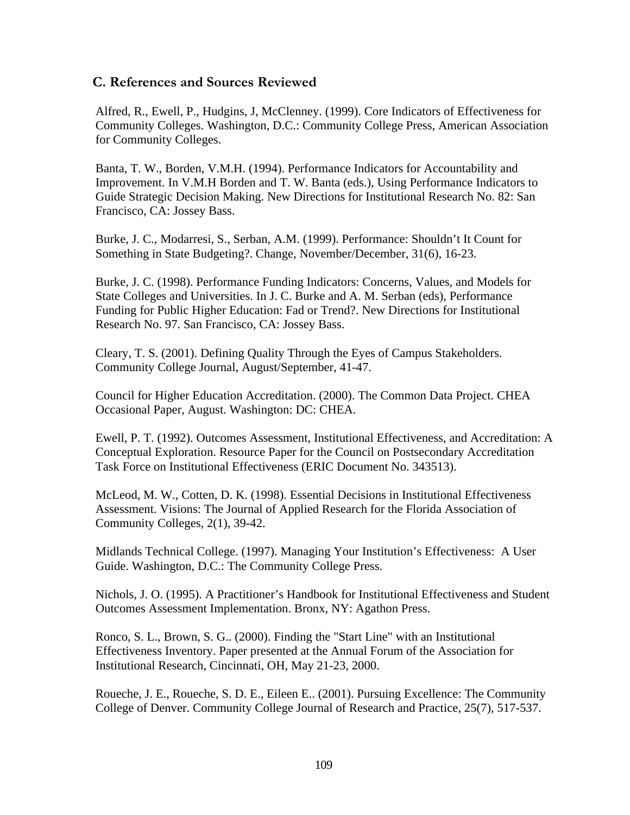## **C. References and Sources Reviewed**

Alfred, R., Ewell, P., Hudgins, J, McClenney. (1999). Core Indicators of Effectiveness for Community Colleges. Washington, D.C.: Community College Press, American Association for Community Colleges.

Banta, T. W., Borden, V.M.H. (1994). Performance Indicators for Accountability and Improvement. In V.M.H Borden and T. W. Banta (eds.), Using Performance Indicators to Guide Strategic Decision Making. New Directions for Institutional Research No. 82: San Francisco, CA: Jossey Bass.

Burke, J. C., Modarresi, S., Serban, A.M. (1999). Performance: Shouldn't It Count for Something in State Budgeting?. Change, November/December, 31(6), 16-23.

Burke, J. C. (1998). Performance Funding Indicators: Concerns, Values, and Models for State Colleges and Universities. In J. C. Burke and A. M. Serban (eds), Performance Funding for Public Higher Education: Fad or Trend?. New Directions for Institutional Research No. 97. San Francisco, CA: Jossey Bass.

Cleary, T. S. (2001). Defining Quality Through the Eyes of Campus Stakeholders. Community College Journal, August/September, 41-47.

Council for Higher Education Accreditation. (2000). The Common Data Project. CHEA Occasional Paper, August. Washington: DC: CHEA.

Ewell, P. T. (1992). Outcomes Assessment, Institutional Effectiveness, and Accreditation: A Conceptual Exploration. Resource Paper for the Council on Postsecondary Accreditation Task Force on Institutional Effectiveness (ERIC Document No. 343513).

McLeod, M. W., Cotten, D. K. (1998). Essential Decisions in Institutional Effectiveness Assessment. Visions: The Journal of Applied Research for the Florida Association of Community Colleges, 2(1), 39-42.

Midlands Technical College. (1997). Managing Your Institution's Effectiveness: A User Guide. Washington, D.C.: The Community College Press.

Nichols, J. O. (1995). A Practitioner's Handbook for Institutional Effectiveness and Student Outcomes Assessment Implementation. Bronx, NY: Agathon Press.

Ronco, S. L., Brown, S. G.. (2000). Finding the "Start Line" with an Institutional Effectiveness Inventory. Paper presented at the Annual Forum of the Association for Institutional Research, Cincinnati, OH, May 21-23, 2000.

Roueche, J. E., Roueche, S. D. E., Eileen E.. (2001). Pursuing Excellence: The Community College of Denver. Community College Journal of Research and Practice, 25(7), 517-537.